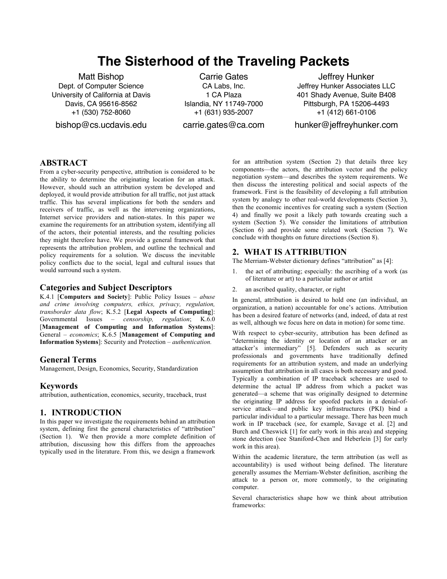# **The Sisterhood of the Traveling Packets**

Matt Bishop Dept. of Computer Science University of California at Davis Davis, CA 95616-8562 +1 (530) 752-8060

bishop@cs.ucdavis.edu

Carrie Gates CA Labs, Inc. 1 CA Plaza Islandia, NY 11749-7000 +1 (631) 935-2007

carrie.gates@ca.com

Jeffrey Hunker Jeffrey Hunker Associates LLC 401 Shady Avenue, Suite B408 Pittsburgh, PA 15206-4493 +1 (412) 661-0106

hunker@jeffreyhunker.com

## **ABSTRACT**

From a cyber-security perspective, attribution is considered to be the ability to determine the originating location for an attack. However, should such an attribution system be developed and deployed, it would provide attribution for all traffic, not just attack traffic. This has several implications for both the senders and receivers of traffic, as well as the intervening organizations, Internet service providers and nation-states. In this paper we examine the requirements for an attribution system, identifying all of the actors, their potential interests, and the resulting policies they might therefore have. We provide a general framework that represents the attribution problem, and outline the technical and policy requirements for a solution. We discuss the inevitable policy conflicts due to the social, legal and cultural issues that would surround such a system.

#### **Categories and Subject Descriptors**

K.4.1 [**Computers and Society**]: Public Policy Issues – *abuse and crime involving computers, ethics, privacy, regulation, transborder data flow*; K.5.2 [**Legal Aspects of Computing**]: Governmental Issues – *censorship, regulation*; K.6.0 [**Management of Computing and Information Systems**]: General – *economics*; K.6.5 [**Management of Computing and Information Systems**]: Security and Protection – *authentication.*

## **General Terms**

Management, Design, Economics, Security, Standardization

## **Keywords**

attribution, authentication, economics, security, traceback, trust

#### **1. INTRODUCTION**

In this paper we investigate the requirements behind an attribution system, defining first the general characteristics of "attribution" (Section 1). We then provide a more complete definition of attribution, discussing how this differs from the approaches typically used in the literature. From this, we design a framework

for an attribution system (Section 2) that details three key components—the actors, the attribution vector and the policy negotiation system—and describes the system requirements. We then discuss the interesting political and social aspects of the framework. First is the feasibility of developing a full attribution system by analogy to other real-world developments (Section 3), then the economic incentives for creating such a system (Section 4) and finally we posit a likely path towards creating such a system (Section 5). We consider the limitations of attribution (Section 6) and provide some related work (Section 7). We conclude with thoughts on future directions (Section 8).

## **2. WHAT IS ATTRIBUTION**

The Merriam-Webster dictionary defines "attribution" as [4]:

- 1. the act of attributing; especially: the ascribing of a work (as of literature or art) to a particular author or artist
- 2. an ascribed quality, character, or right

In general, attribution is desired to hold one (an individual, an organization, a nation) accountable for one's actions. Attribution has been a desired feature of networks (and, indeed, of data at rest as well, although we focus here on data in motion) for some time.

With respect to cyber-security, attribution has been defined as "determining the identity or location of an attacker or an attacker's intermediary" [5]. Defenders such as security professionals and governments have traditionally defined requirements for an attribution system, and made an underlying assumption that attribution in all cases is both necessary and good. Typically a combination of IP traceback schemes are used to determine the actual IP address from which a packet was generated—a scheme that was originally designed to determine the originating IP address for spoofed packets in a denial-ofservice attack—and public key infrastructures (PKI) bind a particular individual to a particular message. There has been much work in IP traceback (see, for example, Savage et al. [2] and Burch and Cheswick [1] for early work in this area) and stepping stone detection (see Staniford-Chen and Heberlein [3] for early work in this area).

Within the academic literature, the term attribution (as well as accountability) is used without being defined. The literature generally assumes the Merriam-Webster definition, ascribing the attack to a person or, more commonly, to the originating computer.

Several characteristics shape how we think about attribution frameworks: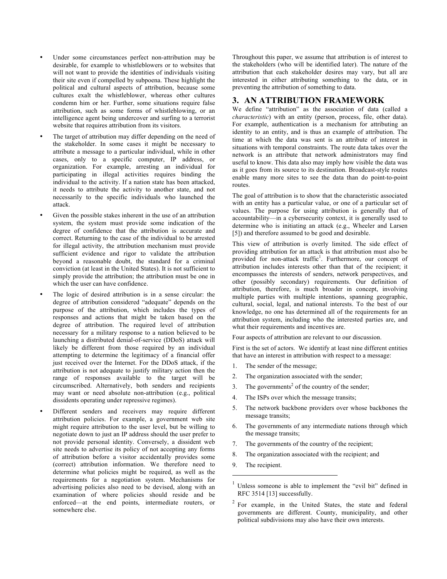- Under some circumstances perfect non-attribution may be desirable, for example to whistleblowers or to websites that will not want to provide the identities of individuals visiting their site even if compelled by subpoena. These highlight the political and cultural aspects of attribution, because some cultures exalt the whistleblower, whereas other cultures condemn him or her. Further, some situations require false attribution, such as some forms of whistleblowing, or an intelligence agent being undercover and surfing to a terrorist website that requires attribution from its visitors.
- The target of attribution may differ depending on the need of the stakeholder. In some cases it might be necessary to attribute a message to a particular individual, while in other cases, only to a specific computer, IP address, or organization. For example, arresting an individual for participating in illegal activities requires binding the individual to the activity. If a nation state has been attacked, it needs to attribute the activity to another state, and not necessarily to the specific individuals who launched the attack.
- Given the possible stakes inherent in the use of an attribution system, the system must provide some indication of the degree of confidence that the attribution is accurate and correct. Returning to the case of the individual to be arrested for illegal activity, the attribution mechanism must provide sufficient evidence and rigor to validate the attribution beyond a reasonable doubt, the standard for a criminal conviction (at least in the United States). It is not sufficient to simply provide the attribution; the attribution must be one in which the user can have confidence.
- The logic of desired attribution is in a sense circular: the degree of attribution considered "adequate" depends on the purpose of the attribution, which includes the types of responses and actions that might be taken based on the degree of attribution. The required level of attribution necessary for a military response to a nation believed to be launching a distributed denial-of-service (DDoS) attack will likely be different from those required by an individual attempting to determine the legitimacy of a financial offer just received over the Internet. For the DDoS attack, if the attribution is not adequate to justify military action then the range of responses available to the target will be circumscribed. Alternatively, both senders and recipients may want or need absolute non-attribution (e.g., political dissidents operating under repressive regimes).
- Different senders and receivers may require different attribution policies. For example, a government web site might require attribution to the user level, but be willing to negotiate down to just an IP address should the user prefer to not provide personal identity. Conversely, a dissident web site needs to advertise its policy of not accepting any forms of attribution before a visitor accidentally provides some (correct) attribution information. We therefore need to determine what policies might be required, as well as the requirements for a negotiation system. Mechanisms for advertising policies also need to be devised, along with an examination of where policies should reside and be enforced—at the end points, intermediate routers, or somewhere else.

Throughout this paper, we assume that attribution is of interest to the stakeholders (who will be identified later). The nature of the attribution that each stakeholder desires may vary, but all are interested in either attributing something to the data, or in preventing the attribution of something to data.

## **3. AN ATTRIBUTION FRAMEWORK**

We define "attribution" as the association of data (called a *characteristic*) with an entity (person, process, file, other data). For example, authentication is a mechanism for attributing an identity to an entity, and is thus an example of attribution. The time at which the data was sent is an attribute of interest in situations with temporal constraints. The route data takes over the network is an attribute that network administrators may find useful to know. This data also may imply how visible the data was as it goes from its source to its destination. Broadcast-style routes enable many more sites to see the data than do point-to-point routes.

The goal of attribution is to show that the characteristic associated with an entity has a particular value, or one of a particular set of values. The purpose for using attribution is generally that of accountability—in a cybersecurity context, it is generally used to determine who is initiating an attack (e.g., Wheeler and Larsen [5]) and therefore assumed to be good and desirable.

This view of attribution is overly limited. The side effect of providing attribution for an attack is that attribution must also be provided for non-attack traffic<sup>1</sup>. Furthermore, our concept of attribution includes interests other than that of the recipient; it encompasses the interests of senders, network perspectives, and other (possibly secondary) requirements. Our definition of attribution, therefore, is much broader in concept, involving multiple parties with multiple intentions, spanning geographic, cultural, social, legal, and national interests. To the best of our knowledge, no one has determined all of the requirements for an attribution system, including who the interested parties are, and what their requirements and incentives are.

Four aspects of attribution are relevant to our discussion.

First is the set of actors. We identify at least nine different entities that have an interest in attribution with respect to a message:

- 1. The sender of the message;
- 2. The organization associated with the sender;
- 3. The governments<sup>2</sup> of the country of the sender;
- 4. The ISPs over which the message transits;
- 5. The network backbone providers over whose backbones the message transits;
- 6. The governments of any intermediate nations through which the message transits;
- 7. The governments of the country of the recipient;
- 8. The organization associated with the recipient; and
- 9. The recipient.

 $\overline{a}$ 

<sup>1</sup> Unless someone is able to implement the "evil bit" defined in RFC 3514 [13] successfully.

<sup>&</sup>lt;sup>2</sup> For example, in the United States, the state and federal governments are different. County, municipality, and other political subdivisions may also have their own interests.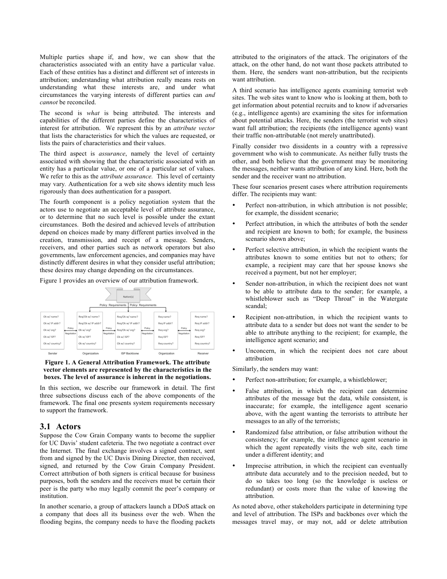Multiple parties shape if, and how, we can show that the characteristics associated with an entity have a particular value. Each of these entities has a distinct and different set of interests in attribution; understanding what attribution really means rests on understanding what these interests are, and under what circumstances the varying interests of different parties can *and cannot* be reconciled.

The second is *what* is being attributed. The interests and capabilities of the different parties define the characteristics of interest for attribution. We represent this by an *attribute vector* that lists the characteristics for which the values are requested, or lists the pairs of characteristics and their values.

The third aspect is *assurance*, namely the level of certainty associated with showing that the characteristic associated with an entity has a particular value, or one of a particular set of values. We refer to this as the *attribute assurance.* This level of certainty may vary*.* Authentication for a web site shows identity much less rigorously than does authentication for a passport.

The fourth component is a policy negotiation system that the actors use to negotiate an acceptable level of attribute assurance, or to determine that no such level is possible under the extant circumstances. Both the desired and achieved levels of attribution depend on choices made by many different parties involved in the creation, transmission, and receipt of a message. Senders, receivers, and other parties such as network operators but also governments, law enforcement agencies, and companies may have distinctly different desires in what they consider useful attribution; these desires may change depending on the circumstances.

Figure 1 provides an overview of our attribution framework.



#### **Figure 1. A General Attribution Framework. The attribute vector elements are represented by the characteristics in the boxes. The level of assurance is inherent in the negotiations.**

In this section, we describe our framework in detail. The first three subsections discuss each of the above components of the framework. The final one presents system requirements necessary to support the framework.

#### **3.1 Actors**

Suppose the Cow Grain Company wants to become the supplier for UC Davis' student cafeteria. The two negotiate a contract over the Internet. The final exchange involves a signed contract, sent from and signed by the UC Davis Dining Director, then received, signed, and returned by the Cow Grain Company President. Correct attribution of both signers is critical because for business purposes, both the senders and the receivers must be certain their peer is the party who may legally commit the peer's company or institution.

In another scenario, a group of attackers launch a DDoS attack on a company that does all its business over the web. When the flooding begins, the company needs to have the flooding packets attributed to the originators of the attack. The originators of the attack, on the other hand, do not want those packets attributed to them. Here, the senders want non-attribution, but the recipients want attribution.

A third scenario has intelligence agents examining terrorist web sites. The web sites want to know who is looking at them, both to get information about potential recruits and to know if adversaries (e.g., intelligence agents) are examining the sites for information about potential attacks. Here, the senders (the terrorist web sites) want full attribution; the recipients (the intelligence agents) want their traffic non-attributable (not merely unattributed).

Finally consider two dissidents in a country with a repressive government who wish to communicate. As neither fully trusts the other, and both believe that the government may be monitoring the messages, neither wants attribution of any kind. Here, both the sender and the receiver want no attribution.

These four scenarios present cases where attribution requirements differ. The recipients may want:

- Perfect non-attribution, in which attribution is not possible; for example, the dissident scenario;
- Perfect attribution, in which the attributes of both the sender and recipient are known to both; for example, the business scenario shown above;
- Perfect selective attribution, in which the recipient wants the attributes known to some entities but not to others; for example, a recipient may care that her spouse knows she received a payment, but not her employer;
- Sender non-attribution, in which the recipient does not want to be able to attribute data to the sender; for example, a whistleblower such as "Deep Throat" in the Watergate scandal;
- Recipient non-attribution, in which the recipient wants to attribute data to a sender but does not want the sender to be able to attribute anything to the recipient; for example, the intelligence agent scenario; and
- Unconcern, in which the recipient does not care about attribution

Similarly, the senders may want:

- Perfect non-attribution; for example, a whistleblower;
- False attribution, in which the recipient can determine attributes of the message but the data, while consistent, is inaccurate; for example, the intelligence agent scenario above, with the agent wanting the terrorists to attribute her messages to an ally of the terrorists;
- Randomized false attribution, or false attribution without the consistency; for example, the intelligence agent scenario in which the agent repeatedly visits the web site, each time under a different identity; and
- Imprecise attribution, in which the recipient can eventually attribute data accurately and to the precision needed, but to do so takes too long (so the knowledge is useless or redundant) or costs more than the value of knowing the attribution.

As noted above, other stakeholders participate in determining type and level of attribution. The ISPs and backbones over which the messages travel may, or may not, add or delete attribution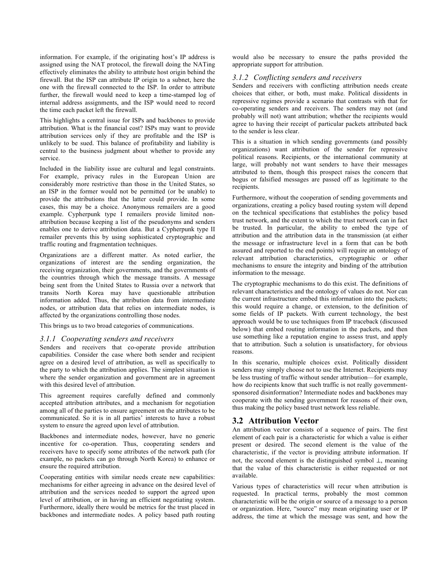information. For example, if the originating host's IP address is assigned using the NAT protocol, the firewall doing the NATing effectively eliminates the ability to attribute host origin behind the firewall. But the ISP can attribute IP origin to a subnet, here the one with the firewall connected to the ISP. In order to attribute further, the firewall would need to keep a time-stamped log of internal address assignments, and the ISP would need to record the time each packet left the firewall.

This highlights a central issue for ISPs and backbones to provide attribution. What is the financial cost? ISPs may want to provide attribution services only if they are profitable and the ISP is unlikely to be sued. This balance of profitability and liability is central to the business judgment about whether to provide any service.

Included in the liability issue are cultural and legal constraints. For example, privacy rules in the European Union are considerably more restrictive than those in the United States, so an ISP in the former would not be permitted (or be unable) to provide the attributions that the latter could provide. In some cases, this may be a choice. Anonymous remailers are a good example. Cypherpunk type I remailers provide limited nonattribution because keeping a list of the pseudonyms and senders enables one to derive attribution data. But a Cypherpunk type II remailer prevents this by using sophisticated cryptographic and traffic routing and fragmentation techniques.

Organizations are a different matter. As noted earlier, the organizations of interest are the sending organization, the receiving organization, their governments, and the governments of the countries through which the message transits. A message being sent from the United States to Russia over a network that transits North Korea may have questionable attribution information added. Thus, the attribution data from intermediate nodes, or attribution data that relies on intermediate nodes, is affected by the organizations controlling those nodes.

This brings us to two broad categories of communications.

#### *3.1.1 Cooperating senders and receivers*

Senders and receivers that co-operate provide attribution capabilities. Consider the case where both sender and recipient agree on a desired level of attribution, as well as specifically to the party to which the attribution applies. The simplest situation is where the sender organization and government are in agreement with this desired level of attribution.

This agreement requires carefully defined and commonly accepted attribution attributes, and a mechanism for negotiation among all of the parties to ensure agreement on the attributes to be communicated. So it is in all parties' interests to have a robust system to ensure the agreed upon level of attribution.

Backbones and intermediate nodes, however, have no generic incentive for co-operation. Thus, cooperating senders and receivers have to specify some attributes of the network path (for example, no packets can go through North Korea) to enhance or ensure the required attribution.

Cooperating entities with similar needs create new capabilities: mechanisms for either agreeing in advance on the desired level of attribution and the services needed to support the agreed upon level of attribution, or in having an efficient negotiating system. Furthermore, ideally there would be metrics for the trust placed in backbones and intermediate nodes. A policy based path routing

would also be necessary to ensure the paths provided the appropriate support for attribution.

#### *3.1.2 Conflicting senders and receivers*

Senders and receivers with conflicting attribution needs create choices that either, or both, must make. Political dissidents in repressive regimes provide a scenario that contrasts with that for co-operating senders and receivers. The senders may not (and probably will not) want attribution; whether the recipients would agree to having their receipt of particular packets attributed back to the sender is less clear.

This is a situation in which sending governments (and possibly organizations) want attribution of the sender for repressive political reasons. Recipients, or the international community at large, will probably not want senders to have their messages attributed to them, though this prospect raises the concern that bogus or falsified messages are passed off as legitimate to the recipients.

Furthermore, without the cooperation of sending governments and organizations, creating a policy based routing system will depend on the technical specifications that establishes the policy based trust network, and the extent to which the trust network can in fact be trusted. In particular, the ability to embed the type of attribution and the attribution data in the transmission (at either the message or infrastructure level in a form that can be both assured and reported to the end points) will require an ontology of relevant attribution characteristics, cryptographic or other mechanisms to ensure the integrity and binding of the attribution information to the message.

The cryptographic mechanisms to do this exist. The definitions of relevant characteristics and the ontology of values do not. Nor can the current infrastructure embed this information into the packets; this would require a change, or extension, to the definition of some fields of IP packets. With current technology, the best approach would be to use techniques from IP traceback (discussed below) that embed routing information in the packets, and then use something like a reputation engine to assess trust, and apply that to attribution. Such a solution is unsatisfactory, for obvious reasons.

In this scenario, multiple choices exist. Politically dissident senders may simply choose not to use the Internet. Recipients may be less trusting of traffic without sender attribution—for example, how do recipients know that such traffic is not really governmentsponsored disinformation? Intermediate nodes and backbones may cooperate with the sending government for reasons of their own, thus making the policy based trust network less reliable.

## **3.2 Attribution Vector**

An attribution vector consists of a sequence of pairs. The first element of each pair is a characteristic for which a value is either present or desired. The second element is the value of the characteristic, if the vector is providing attribute information. If not, the second element is the distinguished symbol ⊥, meaning that the value of this characteristic is either requested or not available.

Various types of characteristics will recur when attribution is requested. In practical terms, probably the most common characteristic will be the origin or source of a message to a person or organization. Here, "source" may mean originating user or IP address, the time at which the message was sent, and how the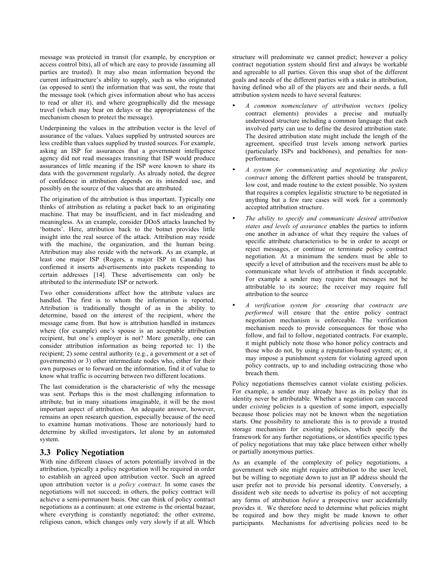message was protected in transit (for example, by encryption or access control bits), all of which are easy to provide (assuming all parties are trusted). It may also mean information beyond the current infrastructure's ability to supply, such as who originated (as opposed to sent) the information that was sent, the route that the message took (which gives information about who has access to read or alter it), and where geographically did the message travel (which may bear on delays or the appropriateness of the mechanism chosen to protect the message).

Underpinning the values in the attribution vector is the level of assurance of the values. Values supplied by untrusted sources are less credible than values supplied by trusted sources. For example, asking an ISP for assurances that a government intelligence agency did not read messages transiting that ISP would produce assurances of little meaning if the ISP were known to share its data with the government regularly. As already noted, the degree of confidence in attribution depends on its intended use, and possibly on the source of the values that are attributed.

The origination of the attribution is thus important. Typically one thinks of attribution as relating a packet back to an originating machine. That may be insufficient, and in fact misleading and meaningless. As an example, consider DDoS attacks launched by 'botnets'. Here, attribution back to the botnet provides little insight into the real source of the attack. Attribution may reside with the machine, the organization, and the human being. Attribution may also reside with the network. As an example, at least one major ISP (Rogers, a major ISP in Canada) has confirmed it inserts advertisements into packets responding to certain addresses [14]. These advertisements can only be attributed to the intermediate ISP or network.

Two other considerations affect how the attribute values are handled. The first is to whom the information is reported. Attribution is traditionally thought of as in the ability to determine, based on the interest of the recipient, where the message came from. But how is attribution handled in instances where (for example) one's spouse is an acceptable attribution recipient, but one's employer is not? More generally, one can consider attribution information as being reported to: 1) the recipient; 2) some central authority (e.g., a government or a set of governments) or 3) other intermediate nodes who, either for their own purposes or to forward on the information, find it of value to know what traffic is occurring between two different locations.

The last consideration is the characteristic of why the message was sent. Perhaps this is the most challenging information to attribute, but in many situations imaginable, it will be the most important aspect of attribution. An adequate answer, however, remains an open research question, especially because of the need to examine human motivations. Those are notoriously hard to determine by skilled investigators, let alone by an automated system.

## **3.3 Policy Negotiation**

With nine different classes of actors potentially involved in the attribution, typically a policy negotiation will be required in order to establish an agreed upon attribution vector. Such an agreed upon attribution vector is *a policy contract*. In some cases the negotiations will not succeed; in others, the policy contract will achieve a semi-permanent basis. One can think of policy contract negotiations as a continuum: at one extreme is the oriental bazaar, where everything is constantly negotiated; the other extreme, religious canon, which changes only very slowly if at all. Which structure will predominate we cannot predict; however a policy contract negotiation system should first and always be workable and agreeable to all parties. Given this snap shot of the different goals and needs of the different parties with a stake in attribution, having defined who all of the players are and their needs, a full attribution system needs to have several features:

- *A common nomenclature of attribution vectors* (policy contract elements) provides a precise and mutually understood structure including a common language that each involved party can use to define the desired attribution state. The desired attribution state might include the length of the agreement, specified trust levels among network parties (particularly ISPs and backbones), and penalties for nonperformance.
- *A system for communicating and negotiating the policy contract* among the different parties should be transparent, low cost, and made routine to the extent possible. No system that requires a complex legalistic structure to be negotiated in anything but a few rare cases will work for a commonly accepted attribution structure.
- *The ability to specify and communicate desired attribution states and levels of assurance* enables the parties to inform one another in advance of what they require the values of specific attribute characteristics to be in order to accept or reject messages, or continue or terminate policy contract negotiation. At a minimum the senders must be able to specify a level of attribution and the receivers must be able to communicate what levels of attribution it finds acceptable. For example a sender may require that messages not be attributable to its source; the receiver may require full attribution to the source
- *A verification system for ensuring that contracts are performed* will ensure that the entire policy contract negotiation mechanism is enforceable. The verification mechanism needs to provide consequences for those who follow, and fail to follow, negotiated contracts. For example, it might publicly note those who honor policy contracts and those who do not, by using a reputation-based system; or, it may impose a punishment system for violating agreed upon policy contracts, up to and including ostracizing those who breach them.

Policy negotiations themselves cannot violate existing policies. For example, a sender may already have as its policy that its identity never be attributable. Whether a negotiation can succeed under *existing* policies is a question of some import, especially because those policies may not be known when the negotiation starts. One possibility to ameliorate this is to provide a trusted storage mechanism for existing policies, which specify the framework for any further negotiations, or identifies specific types of policy negotiations that may take place between either wholly or partially anonymous parties.

As an example of the complexity of policy negotiations, a government web site might require attribution to the user level, but be willing to negotiate down to just an IP address should the user prefer not to provide his personal identity. Conversely, a dissident web site needs to advertise its policy of not accepting any forms of attribution *before* a prospective user accidentally provides it. We therefore need to determine what policies might be required and how they might be made known to other participants. Mechanisms for advertising policies need to be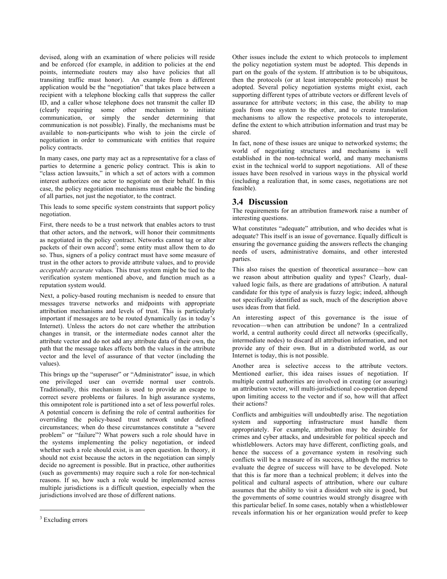devised, along with an examination of where policies will reside and be enforced (for example, in addition to policies at the end points, intermediate routers may also have policies that all transiting traffic must honor). An example from a different application would be the "negotiation" that takes place between a recipient with a telephone blocking calls that suppress the caller ID, and a caller whose telephone does not transmit the caller ID (clearly requiring some other mechanism to initiate communication, or simply the sender determining that communication is not possible). Finally, the mechanisms must be available to non-participants who wish to join the circle of negotiation in order to communicate with entities that require policy contracts.

In many cases, one party may act as a representative for a class of parties to determine a generic policy contract. This is akin to "class action lawsuits," in which a set of actors with a common interest authorizes one actor to negotiate on their behalf. In this case, the policy negotiation mechanisms must enable the binding of all parties, not just the negotiator, to the contract.

This leads to some specific system constraints that support policy negotiation.

First, there needs to be a trust network that enables actors to trust that other actors, and the network, will honor their commitments as negotiated in the policy contract. Networks cannot tag or alter packets of their own accord<sup>3</sup>; some entity must allow them to do so. Thus, signers of a policy contract must have some measure of trust in the other actors to provide attribute values, and to provide *acceptably accurate* values. This trust system might be tied to the verification system mentioned above, and function much as a reputation system would.

Next, a policy-based routing mechanism is needed to ensure that messages traverse networks and midpoints with appropriate attribution mechanisms and levels of trust. This is particularly important if messages are to be routed dynamically (as in today's Internet). Unless the actors do not care whether the attribution changes in transit, or the intermediate nodes cannot alter the attribute vector and do not add any attribute data of their own, the path that the message takes affects both the values in the attribute vector and the level of assurance of that vector (including the values).

This brings up the "superuser" or "Administrator" issue, in which one privileged user can override normal user controls. Traditionally, this mechanism is used to provide an escape to correct severe problems or failures. In high assurance systems, this omnipotent role is partitioned into a set of less powerful roles. A potential concern is defining the role of central authorities for overriding the policy-based trust network under defined circumstances; when do these circumstances constitute a "severe problem" or "failure"? What powers such a role should have in the systems implementing the policy negotiation, or indeed whether such a role should exist, is an open question. In theory, it should not exist because the actors in the negotiation can simply decide no agreement is possible. But in practice, other authorities (such as governments) may require such a role for non-technical reasons. If so, how such a role would be implemented across multiple jurisdictions is a difficult question, especially when the jurisdictions involved are those of different nations.

1

Other issues include the extent to which protocols to implement the policy negotiation system must be adopted. This depends in part on the goals of the system. If attribution is to be ubiquitous, then the protocols (or at least interoperable protocols) must be adopted. Several policy negotiation systems might exist, each supporting different types of attribute vectors or different levels of assurance for attribute vectors; in this case, the ability to map goals from one system to the other, and to create translation mechanisms to allow the respective protocols to interoperate, define the extent to which attribution information and trust may be shared.

In fact, none of these issues are unique to networked systems; the world of negotiating structures and mechanisms is well established in the non-technical world, and many mechanisms exist in the technical world to support negotiations. All of these issues have been resolved in various ways in the physical world (including a realization that, in some cases, negotiations are not feasible).

## **3.4 Discussion**

The requirements for an attribution framework raise a number of interesting questions.

What constitutes "adequate" attribution, and who decides what is adequate? This itself is an issue of governance. Equally difficult is ensuring the governance guiding the answers reflects the changing needs of users, administrative domains, and other interested parties.

This also raises the question of theoretical assurance—how can we reason about attribution quality and types? Clearly, dualvalued logic fails, as there are gradations of attribution. A natural candidate for this type of analysis is fuzzy logic; indeed, although not specifically identified as such, much of the description above uses ideas from that field.

An interesting aspect of this governance is the issue of revocation—when can attribution be undone? In a centralized world, a central authority could direct all networks (specifically, intermediate nodes) to discard all attribution information, and not provide any of their own. But in a distributed world, as our Internet is today, this is not possible.

Another area is selective access to the attribute vectors. Mentioned earlier, this idea raises issues of negotiation. If multiple central authorities are involved in creating (or assuring) an attribution vector, will multi-jurisdictional co-operation depend upon limiting access to the vector and if so, how will that affect their actions?

Conflicts and ambiguities will undoubtedly arise. The negotiation system and supporting infrastructure must handle them appropriately. For example, attribution may be desirable for crimes and cyber attacks, and undesirable for political speech and whistleblowers. Actors may have different, conflicting goals, and hence the success of a governance system in resolving such conflicts will be a measure of its success, although the metrics to evaluate the degree of success will have to be developed. Note that this is far more than a technical problem; it delves into the political and cultural aspects of attribution, where our culture assumes that the ability to visit a dissident web site is good, but the governments of some countries would strongly disagree with this particular belief. In some cases, notably when a whistleblower reveals information his or her organization would prefer to keep

 $3$  Excluding errors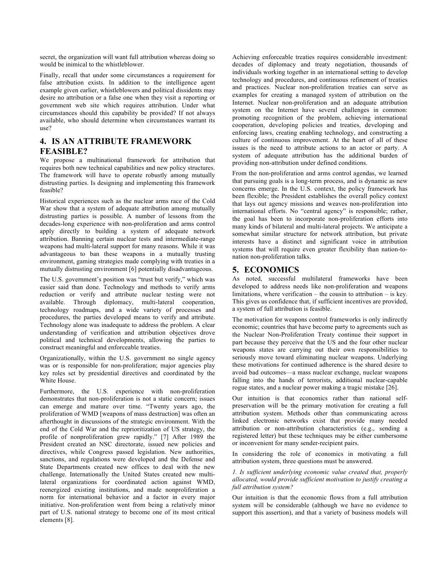secret, the organization will want full attribution whereas doing so would be inimical to the whistleblower.

Finally, recall that under some circumstances a requirement for false attribution exists. In addition to the intelligence agent example given earlier, whistleblowers and political dissidents may desire no attribution or a false one when they visit a reporting or government web site which requires attribution. Under what circumstances should this capability be provided? If not always available, who should determine when circumstances warrant its use?

# **4. IS AN ATTRIBUTE FRAMEWORK FEASIBLE?**

We propose a multinational framework for attribution that requires both new technical capabilities and new policy structures. The framework will have to operate robustly among mutually distrusting parties. Is designing and implementing this framework feasible?

Historical experiences such as the nuclear arms race of the Cold War show that a system of adequate attribution among mutually distrusting parties is possible. A number of lessons from the decades-long experience with non-proliferation and arms control apply directly to building a system of adequate network attribution. Banning certain nuclear tests and intermediate-range weapons had multi-lateral support for many reasons. While it was advantageous to ban these weapons in a mutually trusting environment, gaming strategies made complying with treaties in a mutually distrusting environment [6] potentially disadvantageous.

The U.S. government's position was "trust but verify," which was easier said than done. Technology and methods to verify arms reduction or verify and attribute nuclear testing were not available. Through diplomacy, multi-lateral cooperation, technology roadmaps, and a wide variety of processes and procedures, the parties developed means to verify and attribute. Technology alone was inadequate to address the problem. A clear understanding of verification and attribution objectives drove political and technical developments, allowing the parties to construct meaningful and enforceable treaties.

Organizationally, within the U.S. government no single agency was or is responsible for non-proliferation; major agencies play key roles set by presidential directives and coordinated by the White House.

Furthermore, the U.S. experience with non-proliferation demonstrates that non-proliferation is not a static concern; issues can emerge and mature over time. "Twenty years ago, the proliferation of WMD [weapons of mass destruction] was often an afterthought in discussions of the strategic environment. With the end of the Cold War and the reprioritization of US strategy, the profile of nonproliferation grew rapidly." [7] After 1989 the President created an NSC directorate, issued new policies and directives, while Congress passed legislation. New authorities, sanctions, and regulations were developed and the Defense and State Departments created new offices to deal with the new challenge. Internationally the United States created new multilateral organizations for coordinated action against WMD, reenergized existing institutions, and made nonproliferation a norm for international behavior and a factor in every major initiative. Non-proliferation went from being a relatively minor part of U.S. national strategy to become one of its most critical elements [8].

Achieving enforceable treaties requires considerable investment: decades of diplomacy and treaty negotiation, thousands of individuals working together in an international setting to develop technology and procedures, and continuous refinement of treaties and practices. Nuclear non-proliferation treaties can serve as examples for creating a managed system of attribution on the Internet. Nuclear non-proliferation and an adequate attribution system on the Internet have several challenges in common: promoting recognition of the problem, achieving international cooperation, developing policies and treaties, developing and enforcing laws, creating enabling technology, and constructing a culture of continuous improvement. At the heart of all of these issues is the need to attribute actions to an actor or party. A system of adequate attribution has the additional burden of providing non-attribution under defined conditions.

From the non-proliferation and arms control agendas, we learned that pursuing goals is a long-term process, and is dynamic as new concerns emerge. In the U.S. context, the policy framework has been flexible; the President establishes the overall policy context that lays out agency missions and weaves non-proliferation into international efforts. No "central agency" is responsible; rather, the goal has been to incorporate non-proliferation efforts into many kinds of bilateral and multi-lateral projects. We anticipate a somewhat similar structure for network attribution, but private interests have a distinct and significant voice in attribution systems that will require even greater flexibility than nation-tonation non-proliferation talks.

## **5. ECONOMICS**

As noted, successful multilateral frameworks have been developed to address needs like non-proliferation and weapons limitations, where verification – the cousin to attribution – is key. This gives us confidence that, if sufficient incentives are provided, a system of full attribution is feasible.

The motivation for weapons control frameworks is only indirectly economic; countries that have become party to agreements such as the Nuclear Non-Proliferation Treaty continue their support in part because they perceive that the US and the four other nuclear weapons states are carrying out their own responsibilities to seriously move toward eliminating nuclear weapons. Underlying these motivations for continued adherence is the shared desire to avoid bad outcomes—a mass nuclear exchange, nuclear weapons falling into the hands of terrorists, additional nuclear-capable rogue states, and a nuclear power making a tragic mistake [26].

Our intuition is that economics rather than national selfpreservation will be the primary motivation for creating a full attribution system. Methods other than communicating across linked electronic networks exist that provide many needed attribution or non-attribution characteristics (e.g., sending a registered letter) but these techniques may be either cumbersome or inconvenient for many sender-recipient pairs.

In considering the role of economics in motivating a full attribution system, three questions must be answered.

*1. Is sufficient underlying economic value created that, properly allocated, would provide sufficient motivation to justify creating a full attribution system?*

Our intuition is that the economic flows from a full attribution system will be considerable (although we have no evidence to support this assertion), and that a variety of business models will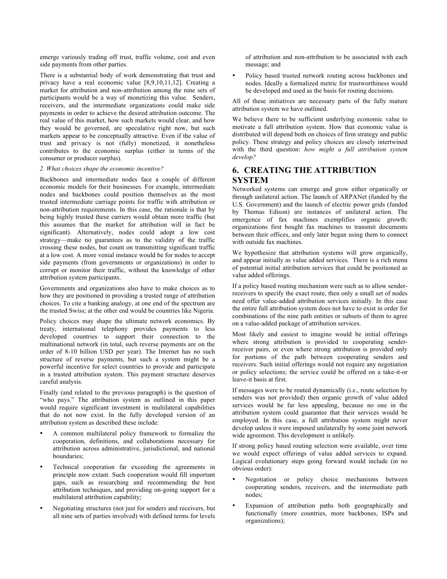emerge variously trading off trust, traffic volume, cost and even side payments from other parties.

There is a substantial body of work demonstrating that trust and privacy have a real economic value [8,9,10,11,12]. Creating a market for attribution and non-attribution among the nine sets of participants would be a way of monetizing this value. Senders, receivers, and the intermediate organizations could make side payments in order to achieve the desired attribution outcome. The real value of this market, how such markets would clear, and how they would be governed, are speculative right now, but such markets appear to be conceptually attractive. Even if the value of trust and privacy is not (fully) monetized, it nonetheless contributes to the economic surplus (either in terms of the consumer or producer surplus).

#### *2. What choices shape the economic incentive?*

Backbones and intermediate nodes face a couple of different economic models for their businesses. For example, intermediate nodes and backbones could position themselves as the most trusted intermediate carriage points for traffic with attribution or non-attribution requirements. In this case, the rationale is that by being highly trusted these carriers would obtain more traffic (but this assumes that the market for attribution will in fact be significant). Alternatively, nodes could adopt a low cost strategy—make no guarantees as to the validity of the traffic crossing these nodes, but count on transmitting significant traffic at a low cost. A more venial instance would be for nodes to accept side payments (from governments or organizations) in order to corrupt or monitor their traffic, without the knowledge of other attribution system participants.

Governments and organizations also have to make choices as to how they are positioned in providing a trusted range of attribution choices. To cite a banking analogy, at one end of the spectrum are the trusted Swiss; at the other end would be countries like Nigeria.

Policy choices may shape the ultimate network economics. By treaty, international telephony provides payments to less developed countries to support their connection to the multinational network (in total, such reverse payments are on the order of 8-10 billion USD per year). The Internet has no such structure of reverse payments, but such a system might be a powerful incentive for select countries to provide and participate in a trusted attribution system. This payment structure deserves careful analysis.

Finally (and related to the previous paragraph) is the question of "who pays." The attribution system as outlined in this paper would require significant investment in multilateral capabilities that do not now exist. In the fully developed version of an attribution system as described these include:

- A common multilateral policy framework to formalize the cooperation, definitions, and collaborations necessary for attribution across administrative, jurisdictional, and national boundaries;
- Technical cooperation far exceeding the agreements in principle now extant. Such cooperation would fill important gaps, such as researching and recommending the best attribution techniques, and providing on-going support for a multilateral attribution capability;
- Negotiating structures (not just for senders and receivers, but all nine sets of parties involved) with defined terms for levels

of attribution and non-attribution to be associated with each message; and

• Policy based trusted network routing across backbones and nodes. Ideally a formalized metric for trustworthiness would be developed and used as the basis for routing decisions.

All of these initiatives are necessary parts of the fully mature attribution system we have outlined.

We believe there to be sufficient underlying economic value to motivate a full attribution system. How that economic value is distributed will depend both on choices of firm strategy and public policy. These strategy and policy choices are closely intertwined with the third question: *how might a full attribution system develop?*

# **6. CREATING THE ATTRIBUTION SYSTEM**

Networked systems can emerge and grow either organically or through unilateral action. The launch of ARPANet (funded by the U.S. Government) and the launch of electric power grids (funded by Thomas Edison) are instances of unilateral action. The emergence of fax machines exemplifies organic growth: organizations first bought fax machines to transmit documents between their offices, and only later began using them to connect with outside fax machines.

We hypothesize that attribution systems will grow organically, and appear initially as value added services. There is a rich menu of potential initial attribution services that could be positioned as value added offerings.

If a policy based routing mechanism were such as to allow senderreceivers to specify the exact route, then only a small set of nodes need offer value-added attribution services initially. In this case the entire full attribution system does not have to exist in order for combinations of the nine path entities or subsets of them to agree on a value-added package of attribution services.

Most likely and easiest to imagine would be initial offerings where strong attribution is provided to cooperating senderreceiver pairs, or even where strong attribution is provided only for portions of the path between cooperating senders and receivers. Such initial offerings would not require any negotiation or policy selections; the service could be offered on a take-it-or leave-it basis at first.

If messages were to be routed dynamically (i.e., route selection by senders was not provided) then organic growth of value added services would be far less appealing, because no one in the attribution system could guarantee that their services would be employed. In this case, a full attribution system might never develop unless it were imposed unilaterally by some joint network wide agreement. This development is unlikely.

If strong policy based routing selection were available, over time we would expect offerings of value added services to expand. Logical evolutionary steps going forward would include (in no obvious order):

- Negotiation or policy choice mechanisms between cooperating senders, receivers, and the intermediate path nodes;
- Expansion of attribution paths both geographically and functionally (more countries, more backbones, ISPs and organizations);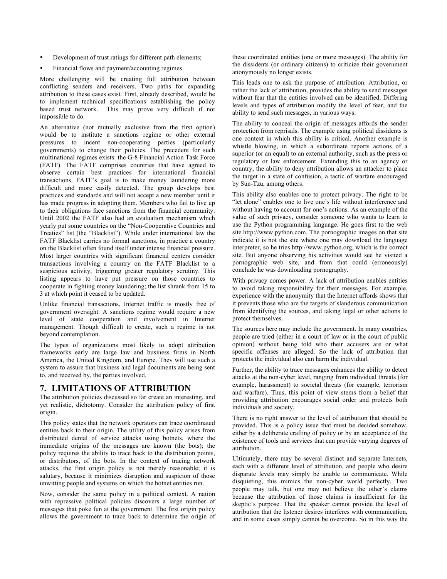- Development of trust ratings for different path elements;
- Financial flows and payment/accounting regimes.

More challenging will be creating full attribution between conflicting senders and receivers. Two paths for expanding attribution to these cases exist. First, already described, would be to implement technical specifications establishing the policy based trust network. This may prove very difficult if not impossible to do.

An alternative (not mutually exclusive from the first option) would be to institute a sanctions regime or other external pressures to incent non-cooperating parties (particularly governments) to change their policies. The precedent for such multinational regimes exists: the G-8 Financial Action Task Force (FATF). The FATF comprises countries that have agreed to observe certain best practices for international financial transactions. FATF's goal is to make money laundering more difficult and more easily detected. The group develops best practices and standards and will not accept a new member until it has made progress in adopting them. Members who fail to live up to their obligations face sanctions from the financial community. Until 2002 the FATF also had an evaluation mechanism which yearly put some countries on the "Non-Cooperative Countries and Treaties" list (the "Blacklist"). While under international law the FATF Blacklist carries no formal sanctions, in practice a country on the Blacklist often found itself under intense financial pressure. Most larger countries with significant financial centers consider transactions involving a country on the FATF Blacklist to a suspicious activity, triggering greater regulatory scrutiny. This listing appears to have put pressure on those countries to cooperate in fighting money laundering; the list shrank from 15 to 3 at which point it ceased to be updated.

Unlike financial transactions, Internet traffic is mostly free of government oversight. A sanctions regime would require a new level of state cooperation and involvement in Internet management. Though difficult to create, such a regime is not beyond contemplation.

The types of organizations most likely to adopt attribution frameworks early are large law and business firms in North America, the United Kingdom, and Europe. They will use such a system to assure that business and legal documents are being sent to, and received by, the parties involved.

#### **7. LIMITATIONS OF ATTRIBUTION**

The attribution policies discussed so far create an interesting, and yet realistic, dichotomy. Consider the attribution policy of first origin.

This policy states that the network operators can trace coordinated entities back to their origin. The utility of this policy arises from distributed denial of service attacks using botnets, where the immediate origins of the messages are known (the bots); the policy requires the ability to trace back to the distribution points, or distributors, of the bots. In the context of tracing network attacks, the first origin policy is not merely reasonable; it is salutary, because it minimizes disruption and suspicion of those unwitting people and systems on which the botnet entities run.

Now, consider the same policy in a political context. A nation with repressive political policies discovers a large number of messages that poke fun at the government. The first origin policy allows the government to trace back to determine the origin of these coordinated entities (one or more messages). The ability for the dissidents (or ordinary citizens) to criticize their government anonymously no longer exists.

This leads one to ask the purpose of attribution. Attribution, or rather the lack of attribution, provides the ability to send messages without fear that the entities involved can be identified. Differing levels and types of attribution modify the level of fear, and the ability to send such messages, in various ways.

The ability to conceal the origin of messages affords the sender protection from reprisals. The example using political dissidents is one context in which this ability is critical. Another example is whistle blowing, in which a subordinate reports actions of a superior (or an equal) to an external authority, such as the press or regulatory or law enforcement. Extending this to an agency or country, the ability to deny attribution allows an attacker to place the target in a state of confusion, a tactic of warfare encouraged by Sun-Tzu, among others.

This ability also enables one to protect privacy. The right to be "let alone" enables one to live one's life without interference and without having to account for one's actions. As an example of the value of such privacy, consider someone who wants to learn to use the Python programming language. He goes first to the web site http://www.python.com. The pornographic images on that site indicate it is not the site where one may download the language interpreter, so he tries http://www.python.org, which is the correct site. But anyone observing his activities would see he visited a pornographic web site, and from that could (erroneously) conclude he was downloading pornography.

With privacy comes power. A lack of attribution enables entities to avoid taking responsibility for their messages. For example, experience with the anonymity that the Internet affords shows that it prevents those who are the targets of slanderous communication from identifying the sources, and taking legal or other actions to protect themselves.

The sources here may include the government. In many countries, people are tried (either in a court of law or in the court of public opinion) without being told who their accusers are or what specific offenses are alleged. So the lack of attribution that protects the individual also can harm the individual.

Further, the ability to trace messages enhances the ability to detect attacks at the non-cyber level, ranging from individual threats (for example, harassment) to societal threats (for example, terrorism and warfare). Thus, this point of view stems from a belief that providing attribution encourages social order and protects both individuals and society.

There is no right answer to the level of attribution that should be provided. This is a policy issue that must be decided somehow, either by a deliberate crafting of policy or by an acceptance of the existence of tools and services that can provide varying degrees of attribution.

Ultimately, there may be several distinct and separate Internets, each with a different level of attribution, and people who desire disparate levels may simply be unable to communicate. While disquieting, this mimics the non-cyber world perfectly. Two people may talk, but one may not believe the other's claims because the attribution of those claims is insufficient for the skeptic's purpose. That the speaker cannot provide the level of attribution that the listener desires interferes with communication, and in some cases simply cannot be overcome. So in this way the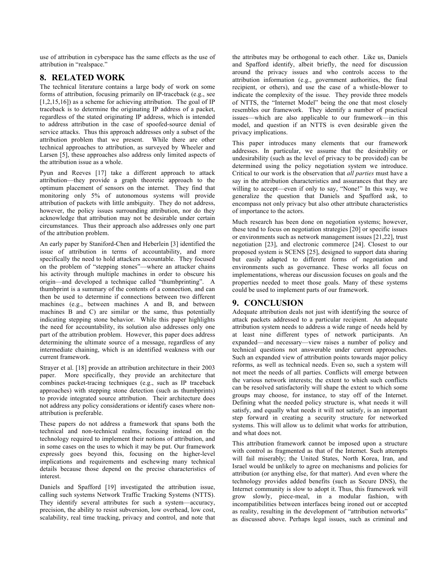use of attribution in cyberspace has the same effects as the use of attribution in "realspace."

## **8. RELATED WORK**

The technical literature contains a large body of work on some forms of attribution, focusing primarily on IP-traceback (e.g., see [1,2,15,16]) as a scheme for achieving attribution. The goal of IP traceback is to determine the originating IP address of a packet, regardless of the stated originating IP address, which is intended to address attribution in the case of spoofed-source denial of service attacks. Thus this approach addresses only a subset of the attribution problem that we present. While there are other technical approaches to attribution, as surveyed by Wheeler and Larsen [5], these approaches also address only limited aspects of the attribution issue as a whole.

Pyun and Reeves [17] take a different approach to attack attribution—they provide a graph theoretic approach to the optimum placement of sensors on the internet. They find that monitoring only 5% of autonomous systems will provide attribution of packets with little ambiguity. They do not address, however, the policy issues surrounding attribution, nor do they acknowledge that attribution may not be desirable under certain circumstances. Thus their approach also addresses only one part of the attribution problem.

An early paper by Staniford-Chen and Heberlein [3] identified the issue of attribution in terms of accountability, and more specifically the need to hold attackers accountable. They focused on the problem of "stepping stones"—where an attacker chains his activity through multiple machines in order to obscure his origin—and developed a technique called "thumbprinting". A thumbprint is a summary of the contents of a connection, and can then be used to determine if connections between two different machines (e.g., between machines A and B, and between machines B and C) are similar or the same, thus potentially indicating stepping stone behavior. While this paper highlights the need for accountability, its solution also addresses only one part of the attribution problem. However, this paper does address determining the ultimate source of a message, regardless of any intermediate chaining, which is an identified weakness with our current framework.

Strayer et al. [18] provide an attribution architecture in their 2003 paper. More specifically, they provide an architecture that combines packet-tracing techniques (e.g., such as IP traceback approaches) with stepping stone detection (such as thumbprints) to provide integrated source attribution. Their architecture does not address any policy considerations or identify cases where nonattribution is preferable.

These papers do not address a framework that spans both the technical and non-technical realms, focusing instead on the technology required to implement their notions of attribution, and in some cases on the uses to which it may be put. Our framework expressly goes beyond this, focusing on the higher-level implications and requirements and eschewing many technical details because those depend on the precise characteristics of interest.

Daniels and Spafford [19] investigated the attribution issue, calling such systems Network Traffic Tracking Systems (NTTS). They identify several attributes for such a system—accuracy, precision, the ability to resist subversion, low overhead, low cost, scalability, real time tracking, privacy and control, and note that the attributes may be orthogonal to each other. Like us, Daniels and Spafford identify, albeit briefly, the need for discussion around the privacy issues and who controls access to the attribution information (e.g., government authorities, the final recipient, or others), and use the case of a whistle-blower to indicate the complexity of the issue. They provide three models of NTTS, the "Internet Model" being the one that most closely resembles our framework. They identify a number of practical issues—which are also applicable to our framework—in this model, and question if an NTTS is even desirable given the privacy implications.

This paper introduces many elements that our framework addresses. In particular, we assume that the desirability or undesirability (such as the level of privacy to be provided) can be determined using the policy negotiation system we introduce. Critical to our work is the observation that *all parties* must have a say in the attribution characteristics and assurances that they are willing to accept—even if only to say, "None!" In this way, we generalize the question that Daniels and Spafford ask, to encompass not only privacy but also other attribute characteristics of importance to the actors.

Much research has been done on negotiation systems; however, these tend to focus on negotiation strategies [20] or specific issues or environments such as network management issues [21,22], trust negotiation [23], and electronic commerce [24]. Closest to our proposed system is SCENS [25], designed to support data sharing but easily adapted to different forms of negotiation and environments such as governance. These works all focus on implementations, whereas our discussion focuses on goals and the properties needed to meet those goals. Many of these systems could be used to implement parts of our framework.

## **9. CONCLUSION**

Adequate attribution deals not just with identifying the source of attack packets addressed to a particular recipient. An adequate attribution system needs to address a wide range of needs held by at least nine different types of network participants. An expanded—and necessary—view raises a number of policy and technical questions not answerable under current approaches. Such an expanded view of attribution points towards major policy reforms, as well as technical needs. Even so, such a system will not meet the needs of all parties. Conflicts will emerge between the various network interests; the extent to which such conflicts can be resolved satisfactorily will shape the extent to which some groups may choose, for instance, to stay off of the Internet. Defining what the needed policy structure is, what needs it will satisfy, and equally what needs it will not satisfy, is an important step forward in creating a security structure for networked systems. This will allow us to delimit what works for attribution, and what does not.

This attribution framework cannot be imposed upon a structure with control as fragmented as that of the Internet. Such attempts will fail miserably; the United States, North Korea, Iran, and Israel would be unlikely to agree on mechanisms and policies for attribution (or anything else, for that matter). And even where the technology provides added benefits (such as Secure DNS), the Internet community is slow to adopt it. Thus, this framework will grow slowly, piece-meal, in a modular fashion, with incompatibilities between interfaces being ironed out or accepted as reality, resulting in the development of "attribution networks" as discussed above. Perhaps legal issues, such as criminal and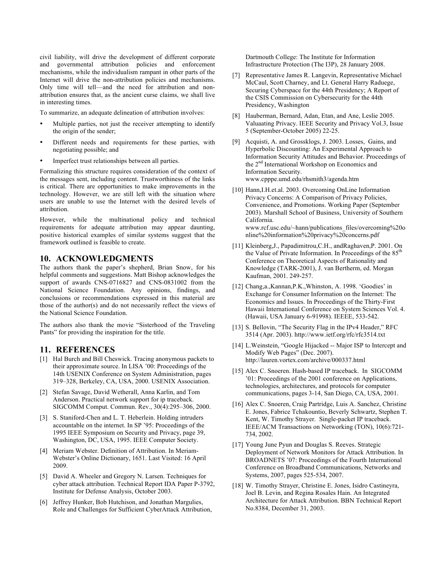civil liability, will drive the development of different corporate and governmental attribution policies and enforcement mechanisms, while the individualism rampant in other parts of the Internet will drive the non-attribution policies and mechanisms. Only time will tell—and the need for attribution and nonattribution ensures that, as the ancient curse claims, we shall live in interesting times.

To summarize, an adequate delineation of attribution involves:

- Multiple parties, not just the receiver attempting to identify the origin of the sender;
- Different needs and requirements for these parties, with negotiating possible; and
- Imperfect trust relationships between all parties.

Formalizing this structure requires consideration of the context of the messages sent, including content. Trustworthiness of the links is critical. There are opportunities to make improvements in the technology. However, we are still left with the situation where users are unable to use the Internet with the desired levels of attribution.

However, while the multinational policy and technical requirements for adequate attribution may appear daunting, positive historical examples of similar systems suggest that the framework outlined is feasible to create.

## **10. ACKNOWLEDGMENTS**

The authors thank the paper's shepherd, Brian Snow, for his helpful comments and suggestions. Matt Bishop acknowledges the support of awards CNS-0716827 and CNS-0831002 from the National Science Foundation. Any opinions, findings, and conclusions or recommendations expressed in this material are those of the author(s) and do not necessarily reflect the views of the National Science Foundation.

The authors also thank the movie "Sisterhood of the Traveling Pants" for providing the inspiration for the title.

## **11. REFERENCES**

- [1] Hal Burch and Bill Cheswick. Tracing anonymous packets to their approximate source. In LISA '00: Proceedings of the 14th USENIX Conference on System Administration, pages 319–328, Berkeley, CA, USA, 2000. USENIX Association.
- [2] Stefan Savage, David Wetherall, Anna Karlin, and Tom Anderson. Practical network support for ip traceback. SIGCOMM Comput. Commun. Rev., 30(4):295–306, 2000.
- [3] S. Staniford-Chen and L. T. Heberlein. Holding intruders accountable on the internet. In SP '95: Proceedings of the 1995 IEEE Symposium on Security and Privacy, page 39, Washington, DC, USA, 1995. IEEE Computer Society.
- [4] Meriam Webster. Definition of Attribution. In Meriam-Webster's Online Dictionary, 1651. Last Visited: 16 April 2009.
- [5] David A. Wheeler and Gregory N. Larsen. Techniques for cyber attack attribution. Technical Report IDA Paper P-3792, Institute for Defense Analysis, October 2003.
- [6] Jeffrey Hunker, Bob Hutchison, and Jonathan Margulies, Role and Challenges for Sufficient CyberAttack Attribution,

Dartmouth College: The Institute for Information Infrastructure Protection (The I3P), 28 January 2008.

- [7] Representative James R. Langevin, Representative Michael McCaul, Scott Charney, and Lt. General Harry Raduege, Securing Cyberspace for the 44th Presidency; A Report of the CSIS Commission on Cybersecurity for the 44th Presidency, Washington
- [8] Hauberman, Bernard, Adan, Etan, and Ane, Leslie 2005. Valuaating Privacy. IEEE Security and Privacy Vol.3, Issue 5 (September-October 2005) 22-25.
- [9] Acquisti, A. and Grossklogs, J. 2003. Losses, Gains, and Hyperbolic Discounting: An Experimental Approach to Information Security Attitudes and Behavior. Proceedings of the 2nd International Workshop on Economics and Information Security. www.cpppe.umd.edu/rhsmith3/agenda.htm
- [10] Hann, I.H.et.al. 2003. Overcoming OnLine Information Privacy Concerns: A Comparison of Privacy Policies, Convenience, and Promotions. Working Paper (September 2003). Marshall School of Business, University of Southern California. www.rcf.usc.edu/~hann/publications\_files/overcoming%20o nline%20information%20privacy%20concerns.pdf
- [11] Kleinberg, J., Papadimitrou, C.H., and Raghaven, P. 2001. On the Value of Private Information. In Proceedings of the  $85<sup>th</sup>$ Conference on Theoretical Aspects of Rationality and Knowledge (TARK-2001), J. van Bertherm, ed. Morgan Kaufman, 2001. 249-257.
- [12] Chang,a.,Kannan,P.K.,Whinston, A. 1998. 'Goodies' in Exchange for Consumer Information on the Internet: The Economics and Issues. In Proceedings of the Thirty-First Hawaii International Conference on System Sciences Vol. 4. (Hawaii, USA January 6-91998). IEEEE, 533-542.
- [13] S. Bellovin, "The Security Flag in the IPv4 Header," RFC 3514 (Apr. 2003). http://www.ietf.org/rfc/rfc3514.txt
- [14] L.Weinstein, "Google Hijacked -- Major ISP to Intercept and Modify Web Pages" (Dec. 2007). http://lauren.vortex.com/archive/000337.html
- [15] Alex C. Snoeren. Hash-based IP traceback. In SIGCOMM '01: Proceedings of the 2001 conference on Applications, technologies, architectures, and protocols for computer communications, pages 3-14, San Diego, CA, USA, 2001.
- [16] Alex C. Snoeren, Craig Partridge, Luis A. Sanchez, Christine E. Jones, Fabrice Tchakountio, Beverly Schwartz, Stephen T. Kent, W. Timothy Strayer. Single-packet IP traceback. IEEE/ACM Transactions on Networking (TON), 10(6):721- 734, 2002.
- [17] Young June Pyun and Douglas S. Reeves. Strategic Deployment of Network Monitors for Attack Attribution. In BROADNETS '07: Proceedings of the Fourth International Conference on Broadband Communications, Networks and Systems, 2007, pages 525-534, 2007.
- [18] W. Timothy Strayer, Christine E. Jones, Isidro Castineyra, Joel B. Levin, and Regina Rosales Hain. An Integrated Architecture for Attack Attribution. BBN Technical Report No.8384, December 31, 2003.